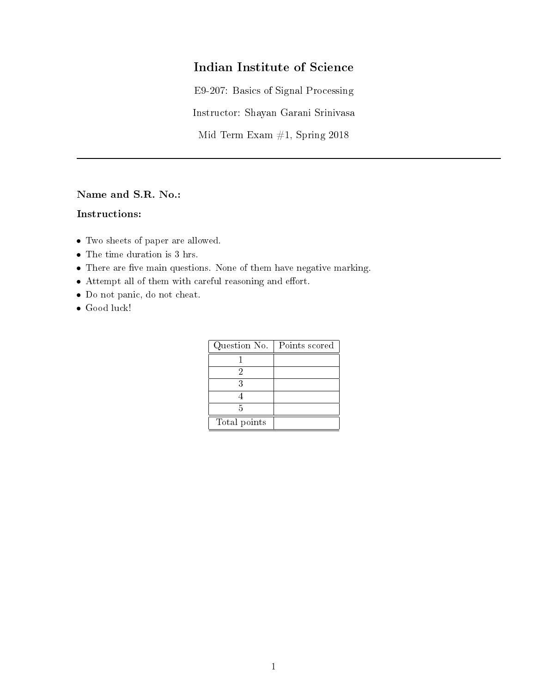## Indian Institute of Science

E9-207: Basics of Signal Processing

Instructor: Shayan Garani Srinivasa

Mid Term Exam #1, Spring 2018

Name and S.R. No.:

## Instructions:

- Two sheets of paper are allowed.
- The time duration is 3 hrs.
- $\bullet$  There are five main questions. None of them have negative marking.
- $\bullet$  Attempt all of them with careful reasoning and effort.
- Do not panic, do not cheat.
- Good luck!

| Question No. | Points scored |
|--------------|---------------|
|              |               |
|              |               |
| ર            |               |
|              |               |
| 5            |               |
| Total points |               |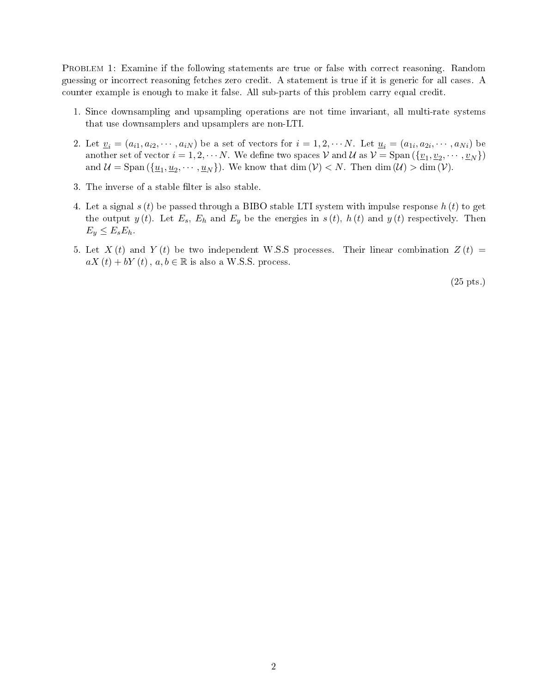PROBLEM 1: Examine if the following statements are true or false with correct reasoning. Random guessing or incorrect reasoning fetches zero credit. A statement is true if it is generic for all cases. A counter example is enough to make it false. All sub-parts of this problem carry equal credit.

- 1. Since downsampling and upsampling operations are not time invariant, all multi-rate systems that use downsamplers and upsamplers are non-LTI.
- 2. Let  $\underline{v}_i = (a_{i1}, a_{i2}, \cdots, a_{iN})$  be a set of vectors for  $i = 1, 2, \cdots N$ . Let  $\underline{u}_i = (a_{1i}, a_{2i}, \cdots, a_{Ni})$  be another set of vector  $i = 1, 2, \cdots N$  We define two spaces  $\mathcal V$  and  $\mathcal U$  as  $\mathcal V = \text{Span}(\{\underline{v}_1, \underline{v}_2, \cdots, \underline{v}_N\})$ and  $\mathcal{U} = \text{Span}(\{\underline{u}_1, \underline{u}_2, \dots, \underline{u}_N\})$ . We know that  $\dim(\mathcal{V}) < N$ . Then  $\dim(\mathcal{U}) > \dim(\mathcal{V})$ .
- 3. The inverse of a stable filter is also stable.
- 4. Let a signal  $s(t)$  be passed through a BIBO stable LTI system with impulse response  $h(t)$  to get the output  $y(t)$ . Let  $E_s$ ,  $E_h$  and  $E_y$  be the energies in  $s(t)$ ,  $h(t)$  and  $y(t)$  respectively. Then  $E_y \leq E_s E_h$ .
- 5. Let  $X(t)$  and  $Y(t)$  be two independent W.S.S processes. Their linear combination  $Z(t)$  =  $aX(t) + bY(t)$ ,  $a, b \in \mathbb{R}$  is also a W.S.S. process.

(25 pts.)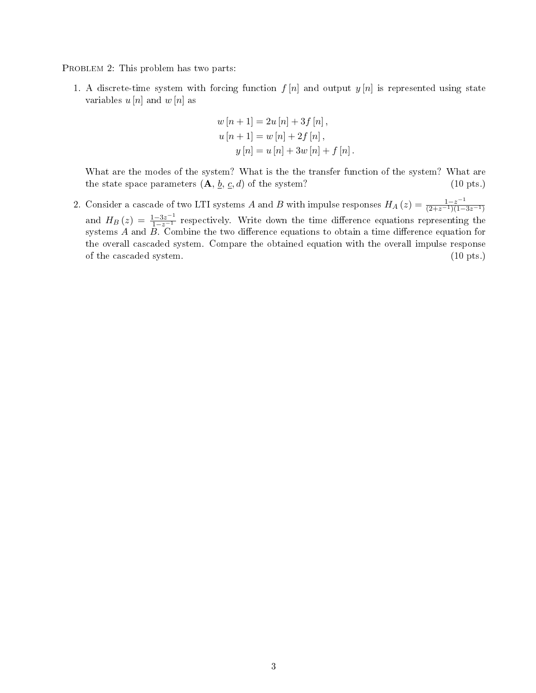PROBLEM 2: This problem has two parts:

1. A discrete-time system with forcing function  $f[n]$  and output  $y[n]$  is represented using state variables  $u[n]$  and  $w[n]$  as

$$
w[n + 1] = 2u[n] + 3f[n],
$$
  
\n
$$
u[n + 1] = w[n] + 2f[n],
$$
  
\n
$$
y[n] = u[n] + 3w[n] + f[n].
$$

What are the modes of the system? What is the the transfer function of the system? What are the state space parameters  $(A, b, c, d)$  of the system? (10 pts.)

2. Consider a cascade of two LTI systems A and B with impulse responses  $H_A(z) = \frac{1-z^{-1}}{(2+z^{-1})(1-3z^{-1})}$ and  $H_B(z) = \frac{1-3z^{-1}}{1-z^{-1}}$  respectively. Write down the time difference equations representing the systems  $A$  and  $B$ . Combine the two difference equations to obtain a time difference equation for the overall cascaded system. Compare the obtained equation with the overall impulse response of the cascaded system. (10 pts.)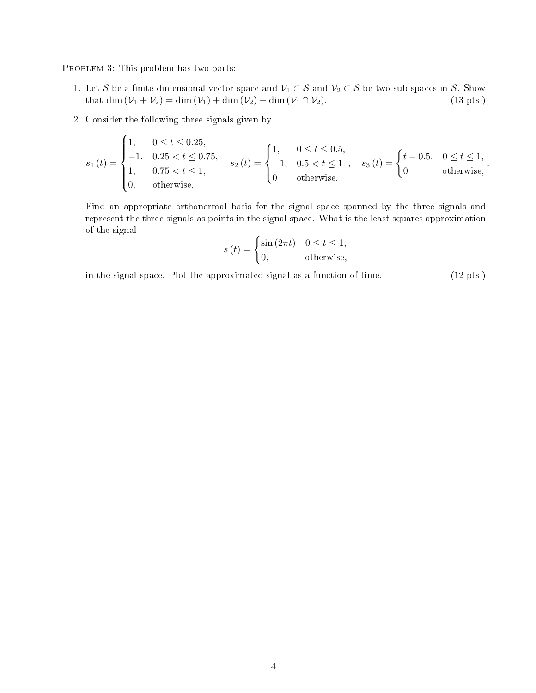PROBLEM 3: This problem has two parts:

- 1. Let S be a finite dimensional vector space and  $\mathcal{V}_1 \subset S$  and  $\mathcal{V}_2 \subset S$  be two sub-spaces in S. Show that dim  $(\mathcal{V}_1 + \mathcal{V}_2) = \dim(\mathcal{V}_1) + \dim(\mathcal{V}_2) \dim(\mathcal{V}_1 \cap \mathcal{V}_2)$ . (13 pts.) that dim  $(\mathcal{V}_1 + \mathcal{V}_2) = \dim (\mathcal{V}_1) + \dim (\mathcal{V}_2) - \dim (\mathcal{V}_1 \cap \mathcal{V}_2)$ .
- 2. Consider the following three signals given by

$$
s_1(t) = \begin{cases} 1, & 0 \le t \le 0.25, \\ -1. & 0.25 < t \le 0.75, \\ 1, & 0.75 < t \le 1, \\ 0, & \text{otherwise,} \end{cases} \quad s_2(t) = \begin{cases} 1, & 0 \le t \le 0.5, \\ -1, & 0.5 < t \le 1 \\ 0 & \text{otherwise,} \end{cases}, \quad s_3(t) = \begin{cases} t - 0.5, & 0 \le t \le 1, \\ 0 & \text{otherwise,} \end{cases}.
$$

Find an appropriate orthonormal basis for the signal space spanned by the three signals and represent the three signals as points in the signal space. What is the least squares approximation of the signal

$$
s(t) = \begin{cases} \sin(2\pi t) & 0 \le t \le 1, \\ 0, & \text{otherwise,} \end{cases}
$$

in the signal space. Plot the approximated signal as a function of time. (12 pts.)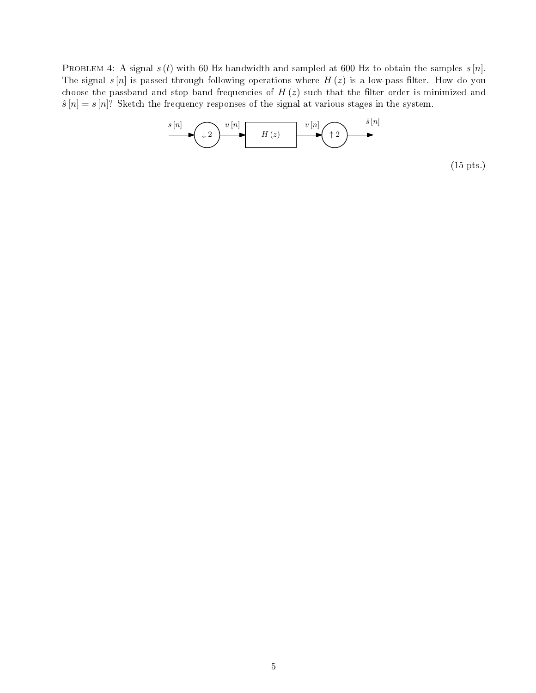PROBLEM 4: A signal  $s(t)$  with 60 Hz bandwidth and sampled at 600 Hz to obtain the samples  $s[n]$ . The signal  $s[n]$  is passed through following operations where  $H(z)$  is a low-pass filter. How do you choose the passband and stop band frequencies of  $H(z)$  such that the filter order is minimized and  $\hat{s}[n] = s[n]$ ? Sketch the frequency responses of the signal at various stages in the system.



(15 pts.)